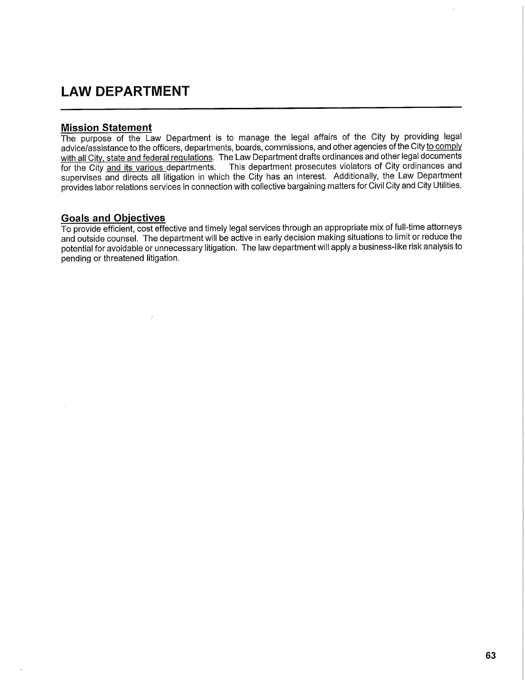## **LAW DEPARTMENT**

## **Mission Statement**

The purpose of the Law Department is to manage the legal affairs of the City by providing legal advice/assistance to the officers, departments, boards, commissions, and other agencies of the City to comply with all City, state and federal regulations. The Law Department drafts ordinances and other legal documents for the City and its various departments. This department prosecutes violators of City ordinances and supervises and directs all litigation in which the City has an interest. Additionally, the Law Department provides labor relations services in connection with collective bargaining matters for Civil City and City Utilities.

## **Goals and Objectives**

To provide efficient, cost effective and timely legal services through an appropriate mix of full-time attorneys and outside counsel. The department will be active in early decision making situations to limit or reduce the potential for avoidable or unnecessary litigation. The law department will apply a business-like risk analysis to pending or threatened litigation.